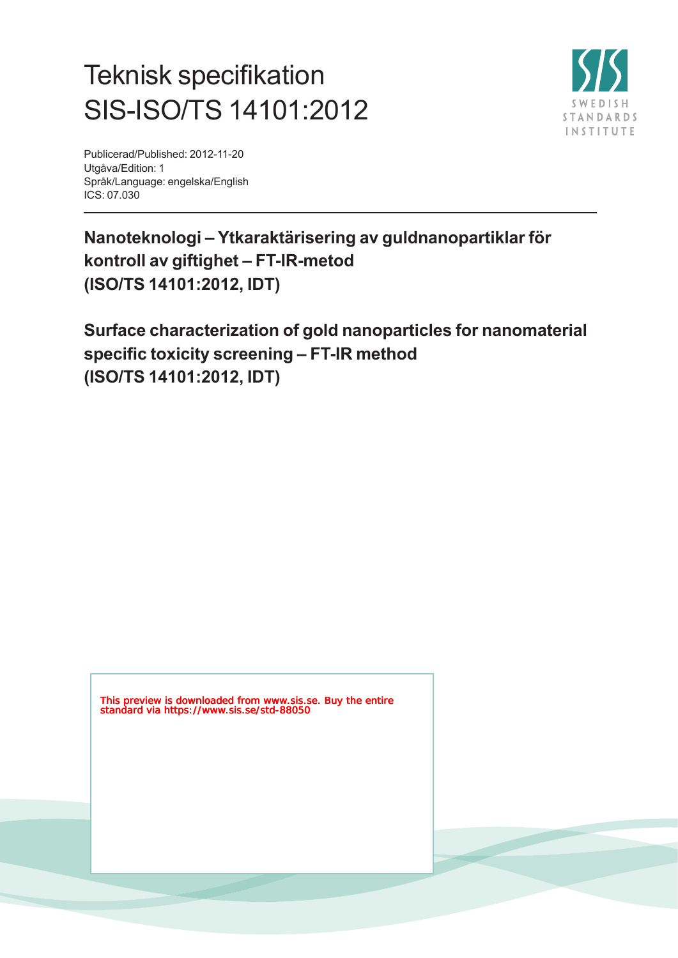# Teknisk specifikation SIS-ISO/TS 14101:2012



Publicerad/Published: 2012-11-20 Utgåva/Edition: 1 Språk/Language: engelska/English ICS: 07.030

**Nanoteknologi – Ytkaraktärisering av guldnanopartiklar för kontroll av giftighet – FT-IR-metod (ISO/TS 14101:2012, IDT)**

**Surface characterization of gold nanoparticles for nanomaterial specific toxicity screening – FT-IR method (ISO/TS 14101:2012, IDT)**

This preview is downloaded from www.sis.se. Buy the entire standard via https://www.sis.se/std-88050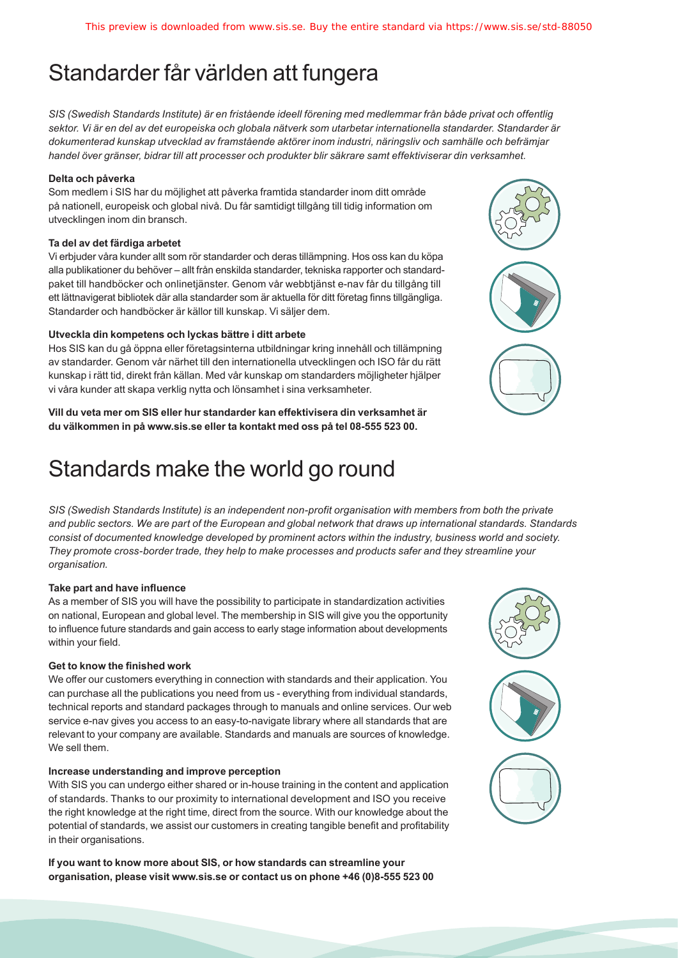# Standarder får världen att fungera

*SIS (Swedish Standards Institute) är en fristående ideell förening med medlemmar från både privat och offentlig sektor. Vi är en del av det europeiska och globala nätverk som utarbetar internationella standarder. Standarder är dokumenterad kunskap utvecklad av framstående aktörer inom industri, näringsliv och samhälle och befrämjar handel över gränser, bidrar till att processer och produkter blir säkrare samt effektiviserar din verksamhet.* 

#### **Delta och påverka**

Som medlem i SIS har du möjlighet att påverka framtida standarder inom ditt område på nationell, europeisk och global nivå. Du får samtidigt tillgång till tidig information om utvecklingen inom din bransch.

#### **Ta del av det färdiga arbetet**

Vi erbjuder våra kunder allt som rör standarder och deras tillämpning. Hos oss kan du köpa alla publikationer du behöver – allt från enskilda standarder, tekniska rapporter och standardpaket till handböcker och onlinetjänster. Genom vår webbtjänst e-nav får du tillgång till ett lättnavigerat bibliotek där alla standarder som är aktuella för ditt företag finns tillgängliga. Standarder och handböcker är källor till kunskap. Vi säljer dem.

#### **Utveckla din kompetens och lyckas bättre i ditt arbete**

Hos SIS kan du gå öppna eller företagsinterna utbildningar kring innehåll och tillämpning av standarder. Genom vår närhet till den internationella utvecklingen och ISO får du rätt kunskap i rätt tid, direkt från källan. Med vår kunskap om standarders möjligheter hjälper vi våra kunder att skapa verklig nytta och lönsamhet i sina verksamheter.

**Vill du veta mer om SIS eller hur standarder kan effektivisera din verksamhet är du välkommen in på www.sis.se eller ta kontakt med oss på tel 08-555 523 00.**

# Standards make the world go round

*SIS (Swedish Standards Institute) is an independent non-profit organisation with members from both the private and public sectors. We are part of the European and global network that draws up international standards. Standards consist of documented knowledge developed by prominent actors within the industry, business world and society. They promote cross-border trade, they help to make processes and products safer and they streamline your organisation.*

#### **Take part and have influence**

As a member of SIS you will have the possibility to participate in standardization activities on national, European and global level. The membership in SIS will give you the opportunity to influence future standards and gain access to early stage information about developments within your field.

#### **Get to know the finished work**

We offer our customers everything in connection with standards and their application. You can purchase all the publications you need from us - everything from individual standards, technical reports and standard packages through to manuals and online services. Our web service e-nav gives you access to an easy-to-navigate library where all standards that are relevant to your company are available. Standards and manuals are sources of knowledge. We sell them.

#### **Increase understanding and improve perception**

With SIS you can undergo either shared or in-house training in the content and application of standards. Thanks to our proximity to international development and ISO you receive the right knowledge at the right time, direct from the source. With our knowledge about the potential of standards, we assist our customers in creating tangible benefit and profitability in their organisations.

**If you want to know more about SIS, or how standards can streamline your organisation, please visit www.sis.se or contact us on phone +46 (0)8-555 523 00**



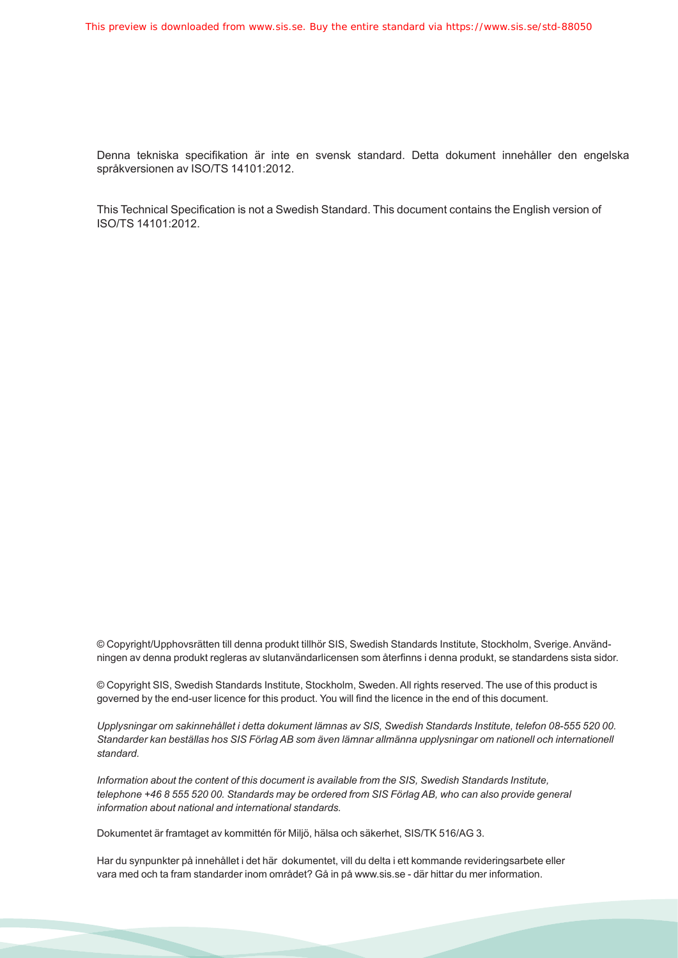Denna tekniska specifikation är inte en svensk standard. Detta dokument innehåller den engelska språkversionen av ISO/TS 14101:2012.

This Technical Specification is not a Swedish Standard. This document contains the English version of ISO/TS 14101:2012.

© Copyright/Upphovsrätten till denna produkt tillhör SIS, Swedish Standards Institute, Stockholm, Sverige. Användningen av denna produkt regleras av slutanvändarlicensen som återfinns i denna produkt, se standardens sista sidor.

© Copyright SIS, Swedish Standards Institute, Stockholm, Sweden. All rights reserved. The use of this product is governed by the end-user licence for this product. You will find the licence in the end of this document.

*Upplysningar om sakinnehållet i detta dokument lämnas av SIS, Swedish Standards Institute, telefon 08-555 520 00. Standarder kan beställas hos SIS Förlag AB som även lämnar allmänna upplysningar om nationell och internationell standard.*

*Information about the content of this document is available from the SIS. Swedish Standards Institute. telephone +46 8 555 520 00. Standards may be ordered from SIS Förlag AB, who can also provide general information about national and international standards.*

Dokumentet är framtaget av kommittén för Miljö, hälsa och säkerhet, SIS/TK 516/AG 3.

Har du synpunkter på innehållet i det här dokumentet, vill du delta i ett kommande revideringsarbete eller vara med och ta fram standarder inom området? Gå in på www.sis.se - där hittar du mer information.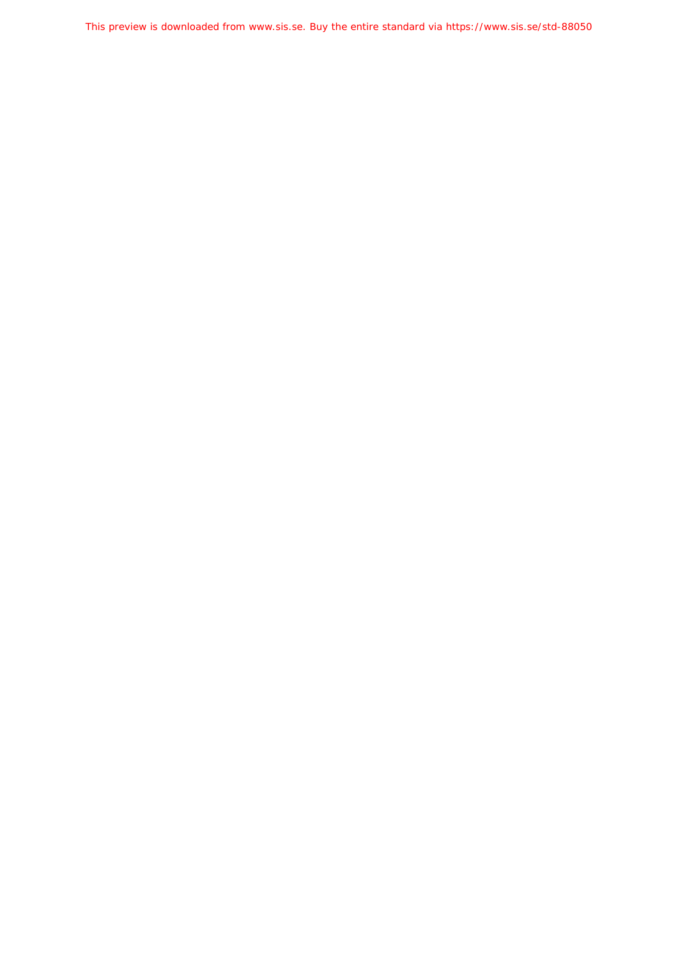This preview is downloaded from www.sis.se. Buy the entire standard via https://www.sis.se/std-88050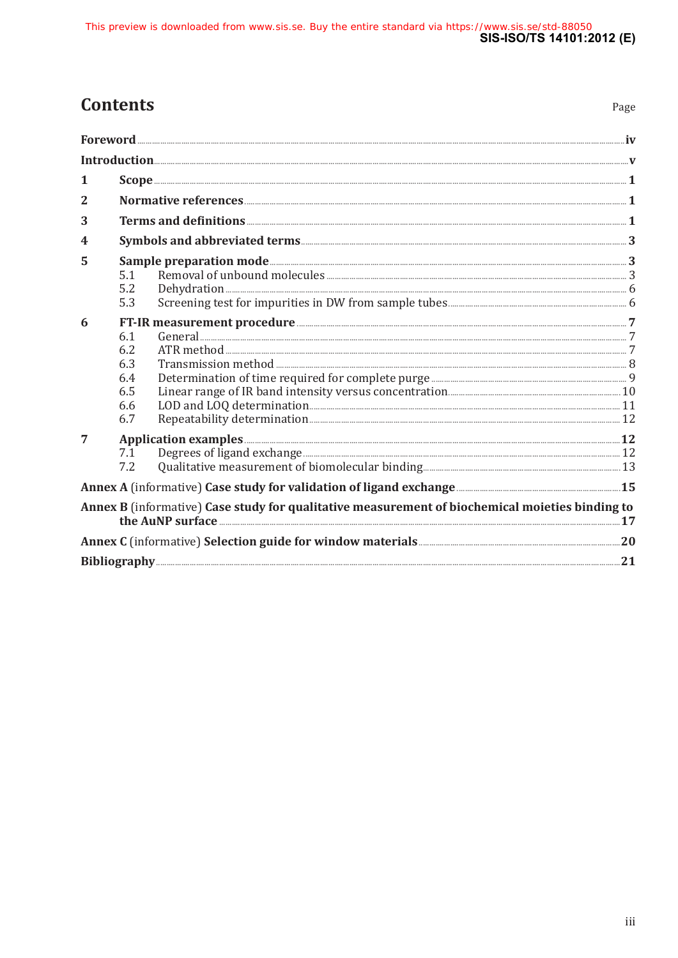# **Contents**

| 1<br>2<br>3<br>4<br>Sample preparation mode <b>Exercise According to the Contract of According Contract and S</b><br>5<br>5.1<br>5.2<br>5.3<br>FT-IR measurement procedure <b>Example 2018</b> 7<br>6<br>6.1<br>6.2<br>6.3<br>6.4<br>6.5<br>LOD and LOQ determination<br>6.6<br>6.7<br>$\overline{7}$<br>Degrees of ligand exchange <b>Exchange 22</b><br>7.1<br>7.2<br>Annex A (informative) Case study for validation of ligand exchange <b>manually and any 15</b><br>Annex B (informative) Case study for qualitative measurement of biochemical moieties binding to<br>the AuNP surface <b><i>ITTEL</i> 17</b><br>Annex C (informative) Selection guide for window materials <b>Materials</b> 20<br>Bibliography 21 |  |  |
|--------------------------------------------------------------------------------------------------------------------------------------------------------------------------------------------------------------------------------------------------------------------------------------------------------------------------------------------------------------------------------------------------------------------------------------------------------------------------------------------------------------------------------------------------------------------------------------------------------------------------------------------------------------------------------------------------------------------------|--|--|
| Application examples <b>Manufacture 2018</b> 12                                                                                                                                                                                                                                                                                                                                                                                                                                                                                                                                                                                                                                                                          |  |  |
|                                                                                                                                                                                                                                                                                                                                                                                                                                                                                                                                                                                                                                                                                                                          |  |  |
|                                                                                                                                                                                                                                                                                                                                                                                                                                                                                                                                                                                                                                                                                                                          |  |  |
|                                                                                                                                                                                                                                                                                                                                                                                                                                                                                                                                                                                                                                                                                                                          |  |  |
|                                                                                                                                                                                                                                                                                                                                                                                                                                                                                                                                                                                                                                                                                                                          |  |  |
|                                                                                                                                                                                                                                                                                                                                                                                                                                                                                                                                                                                                                                                                                                                          |  |  |
|                                                                                                                                                                                                                                                                                                                                                                                                                                                                                                                                                                                                                                                                                                                          |  |  |
|                                                                                                                                                                                                                                                                                                                                                                                                                                                                                                                                                                                                                                                                                                                          |  |  |
|                                                                                                                                                                                                                                                                                                                                                                                                                                                                                                                                                                                                                                                                                                                          |  |  |
|                                                                                                                                                                                                                                                                                                                                                                                                                                                                                                                                                                                                                                                                                                                          |  |  |
|                                                                                                                                                                                                                                                                                                                                                                                                                                                                                                                                                                                                                                                                                                                          |  |  |
|                                                                                                                                                                                                                                                                                                                                                                                                                                                                                                                                                                                                                                                                                                                          |  |  |

Page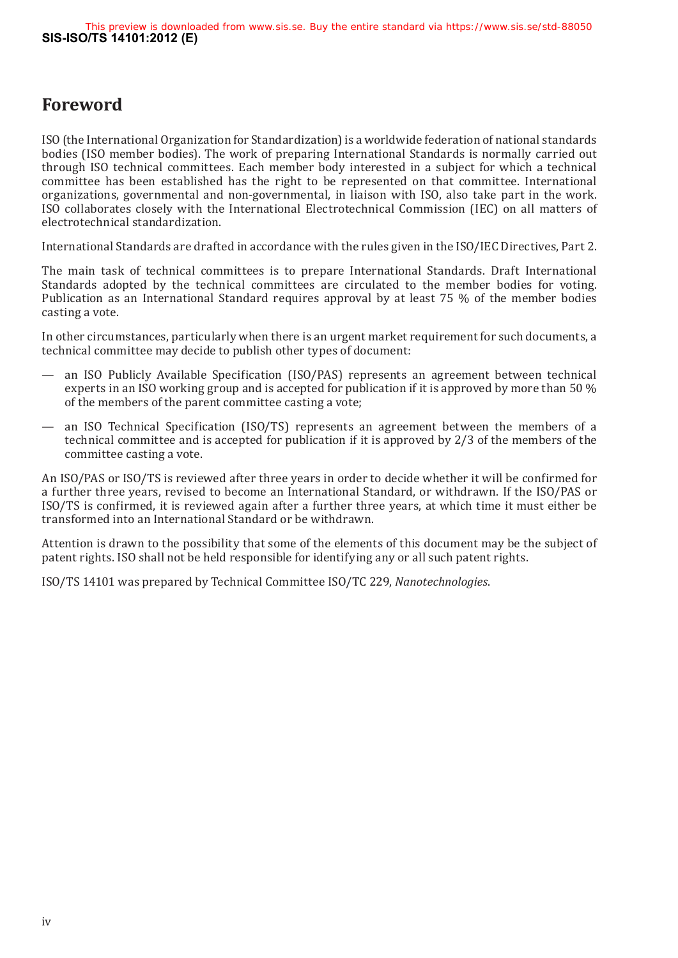# <span id="page-5-0"></span>**Foreword**

ISO (the International Organization for Standardization) is a worldwide federation of national standards bodies (ISO member bodies). The work of preparing International Standards is normally carried out through ISO technical committees. Each member body interested in a subject for which a technical committee has been established has the right to be represented on that committee. International organizations, governmental and non-governmental, in liaison with ISO, also take part in the work. ISO collaborates closely with the International Electrotechnical Commission (IEC) on all matters of electrotechnical standardization.

International Standards are drafted in accordance with the rules given in the ISO/IEC Directives, Part 2.

The main task of technical committees is to prepare International Standards. Draft International Standards adopted by the technical committees are circulated to the member bodies for voting. Publication as an International Standard requires approval by at least 75 % of the member bodies casting a vote.

In other circumstances, particularly when there is an urgent market requirement for such documents, a technical committee may decide to publish other types of document:

- an ISO Publicly Available Specification (ISO/PAS) represents an agreement between technical experts in an ISO working group and is accepted for publication if it is approved by more than 50 % of the members of the parent committee casting a vote;
- an ISO Technical Specification (ISO/TS) represents an agreement between the members of a technical committee and is accepted for publication if it is approved by 2/3 of the members of the committee casting a vote.

An ISO/PAS or ISO/TS is reviewed after three years in order to decide whether it will be confirmed for a further three years, revised to become an International Standard, or withdrawn. If the ISO/PAS or ISO/TS is confirmed, it is reviewed again after a further three years, at which time it must either be transformed into an International Standard or be withdrawn.

Attention is drawn to the possibility that some of the elements of this document may be the subject of patent rights. ISO shall not be held responsible for identifying any or all such patent rights.

ISO/TS 14101 was prepared by Technical Committee ISO/TC 229, *Nanotechnologies*.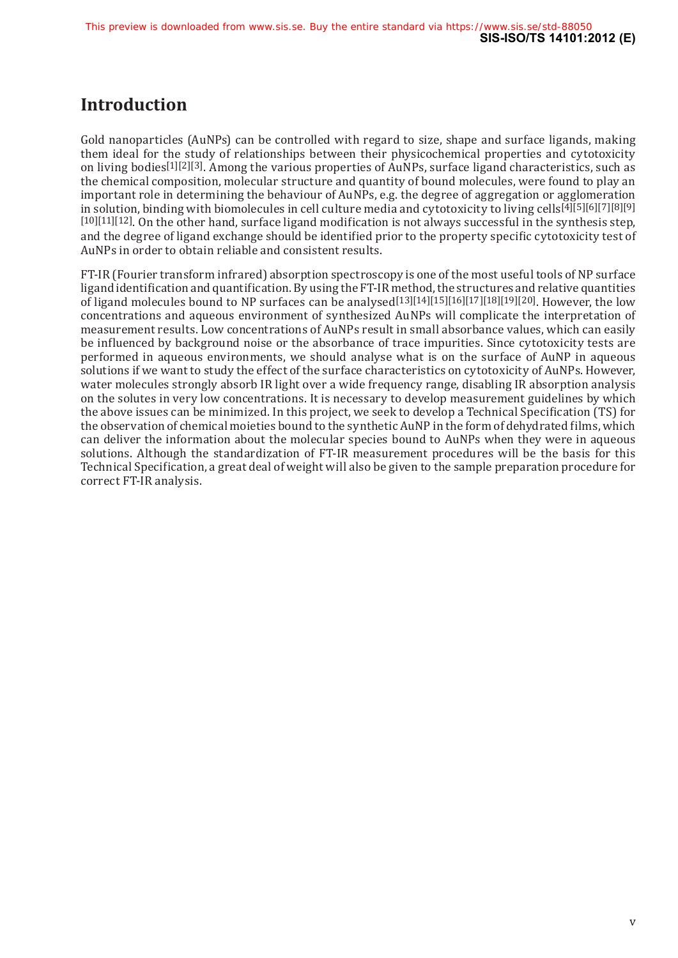# <span id="page-6-0"></span>**Introduction**

Gold nanoparticles (AuNPs) can be controlled with regard to size, shape and surface ligands, making them ideal for the study of relationships between their physicochemical properties and cytotoxicity on living bodies[1][2][3]. Among the various properties of AuNPs, surface ligand characteristics, such as the chemical composition, molecular structure and quantity of bound molecules, were found to play an important role in determining the behaviour of AuNPs, e.g. the degree of aggregation or agglomeration in solution, binding with biomolecules in cell culture media and cytotoxicity to living cells[4][5][6][7][8][9] [10][11][12]. On the other hand, surface ligand modification is not always successful in the synthesis step, and the degree of ligand exchange should be identified prior to the property specific cytotoxicity test of AuNPs in order to obtain reliable and consistent results.

FT-IR (Fourier transform infrared) absorption spectroscopy is one of the most useful tools of NP surface ligand identification and quantification. By using the FT-IR method, the structures and relative quantities of ligand molecules bound to NP surfaces can be analysed[13][14][15][16][17][18][19][20]. However, the low concentrations and aqueous environment of synthesized AuNPs will complicate the interpretation of measurement results. Low concentrations of AuNPs result in small absorbance values, which can easily be influenced by background noise or the absorbance of trace impurities. Since cytotoxicity tests are performed in aqueous environments, we should analyse what is on the surface of AuNP in aqueous solutions if we want to study the effect of the surface characteristics on cytotoxicity of AuNPs. However, water molecules strongly absorb IR light over a wide frequency range, disabling IR absorption analysis on the solutes in very low concentrations. It is necessary to develop measurement guidelines by which the above issues can be minimized. In this project, we seek to develop a Technical Specification (TS) for the observation of chemical moieties bound to the synthetic AuNP in the form of dehydrated films, which can deliver the information about the molecular species bound to AuNPs when they were in aqueous solutions. Although the standardization of FT-IR measurement procedures will be the basis for this Technical Specification, a great deal of weight will also be given to the sample preparation procedure for correct FT-IR analysis.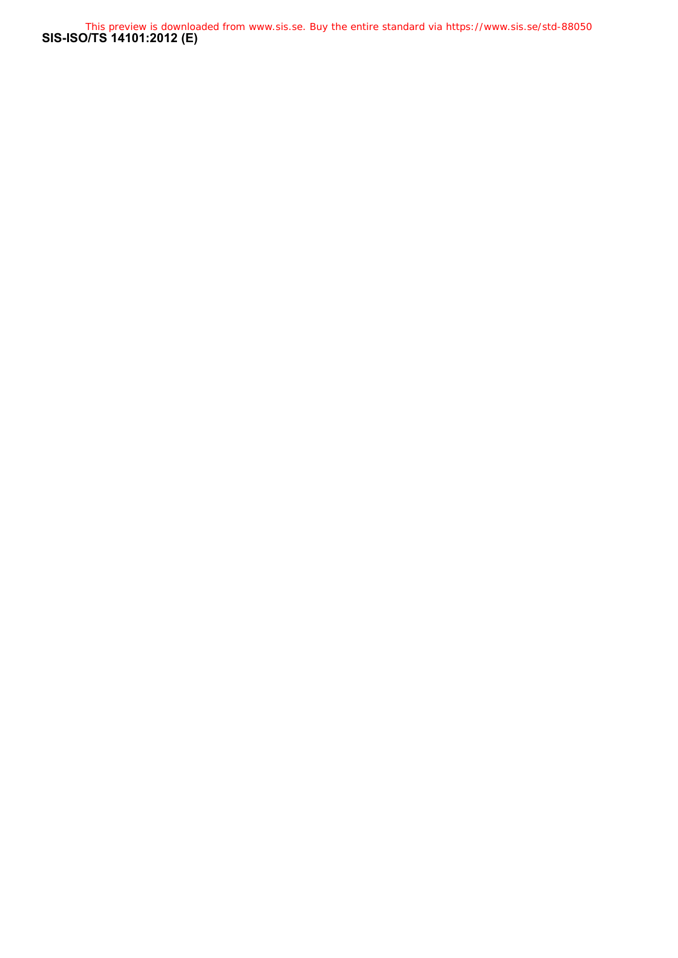**SIS-ISO/TS 14101:2012 (E)** This preview is downloaded from www.sis.se. Buy the entire standard via https://www.sis.se/std-88050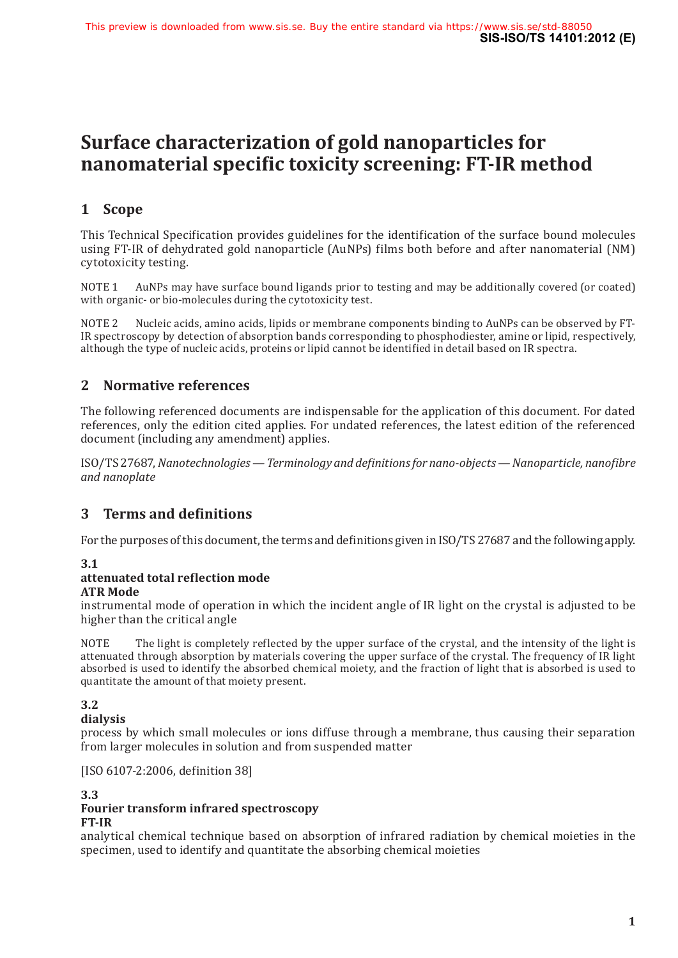# <span id="page-8-0"></span>**Surface characterization of gold nanoparticles for nanomaterial specific toxicity screening: FT-IR method**

# **1 Scope**

This Technical Specification provides guidelines for the identification of the surface bound molecules using FT-IR of dehydrated gold nanoparticle (AuNPs) films both before and after nanomaterial (NM) cytotoxicity testing.

NOTE 1 AuNPs may have surface bound ligands prior to testing and may be additionally covered (or coated) with organic- or bio-molecules during the cytotoxicity test.

NOTE 2 Nucleic acids, amino acids, lipids or membrane components binding to AuNPs can be observed by FT-IR spectroscopy by detection of absorption bands corresponding to phosphodiester, amine or lipid, respectively, although the type of nucleic acids, proteins or lipid cannot be identified in detail based on IR spectra.

### **2 Normative references**

The following referenced documents are indispensable for the application of this document. For dated references, only the edition cited applies. For undated references, the latest edition of the referenced document (including any amendment) applies.

ISO/TS 27687, *Nanotechnologies — Terminology and definitions for nano-objects — Nanoparticle, nanofibre and nanoplate*

# **3 Terms and definitions**

For the purposes of this document, the terms and definitions given in ISO/TS 27687 and the following apply.

#### **3.1**

# **attenuated total reflection mode**

### **ATR Mode**

instrumental mode of operation in which the incident angle of IR light on the crystal is adjusted to be higher than the critical angle

NOTE The light is completely reflected by the upper surface of the crystal, and the intensity of the light is attenuated through absorption by materials covering the upper surface of the crystal. The frequency of IR light absorbed is used to identify the absorbed chemical moiety, and the fraction of light that is absorbed is used to quantitate the amount of that moiety present.

#### **3.2**

### **dialysis**

process by which small molecules or ions diffuse through a membrane, thus causing their separation from larger molecules in solution and from suspended matter

#### [ISO 6107-2:2006, definition 38]

#### **3.3**

#### **Fourier transform infrared spectroscopy FT-IR**

analytical chemical technique based on absorption of infrared radiation by chemical moieties in the specimen, used to identify and quantitate the absorbing chemical moieties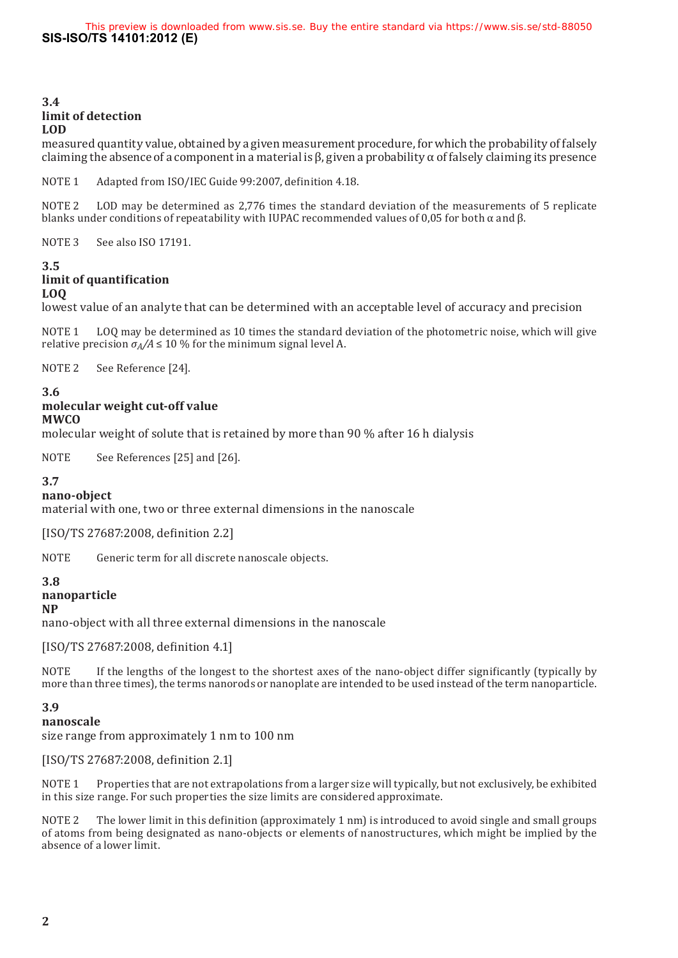#### **3.4 limit of detection LOD**

measured quantity value, obtained by a given measurement procedure, for which the probability of falsely claiming the absence of a component in a material is β, given a probability α of falsely claiming its presence

NOTE 1 Adapted from ISO/IEC Guide 99:2007, definition 4.18.

NOTE 2 LOD may be determined as 2,776 times the standard deviation of the measurements of 5 replicate blanks under conditions of repeatability with IUPAC recommended values of 0,05 for both  $\alpha$  and  $\beta$ .

NOTE 3 See also ISO 17191.

#### **3.5 limit of quantification LOQ**

lowest value of an analyte that can be determined with an acceptable level of accuracy and precision

NOTE 1 LOO may be determined as 10 times the standard deviation of the photometric noise, which will give relative precision  $\sigma_A/A \leq 10\%$  for the minimum signal level A.

NOTE 2 See Reference [24].

#### **3.6**

### **molecular weight cut-off value**

#### **MWCO**

molecular weight of solute that is retained by more than 90 % after 16 h dialysis

NOTE See References [25] and [26].

#### **3.7**

#### **nano-object**

material with one, two or three external dimensions in the nanoscale

[ISO/TS 27687:2008, definition 2.2]

NOTE Generic term for all discrete nanoscale objects.

# **3.8**

#### **nanoparticle NP**

nano-object with all three external dimensions in the nanoscale

[ISO/TS 27687:2008, definition 4.1]

NOTE If the lengths of the longest to the shortest axes of the nano-object differ significantly (typically by more than three times), the terms nanorods or nanoplate are intended to be used instead of the term nanoparticle.

#### **3.9**

#### **nanoscale**

size range from approximately 1 nm to 100 nm

[ISO/TS 27687:2008, definition 2.1]

NOTE 1 Properties that are not extrapolations from a larger size will typically, but not exclusively, be exhibited in this size range. For such properties the size limits are considered approximate.

NOTE 2 The lower limit in this definition (approximately 1 nm) is introduced to avoid single and small groups of atoms from being designated as nano-objects or elements of nanostructures, which might be implied by the absence of a lower limit.